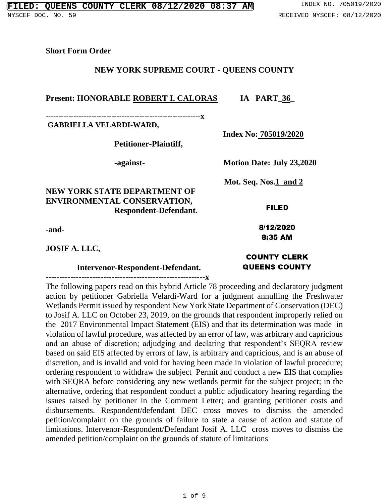#### **Short Form Order**

#### **NEW YORK SUPREME COURT - QUEENS COUNTY**

### Present: HONORABLE ROBERT I. CALORAS IA PART\_36

**-------------------------------------------------------------x GABRIELLA VELARDI-WARD,** 

**Petitioner-Plaintiff,**

**NEW YORK STATE DEPARTMENT OF ENVIRONMENTAL CONSERVATION, Respondent-Defendant.**

**-and-**

**JOSIF A. LLC,** 

#### **Intervenor-Respondent-Defendant.**

----------------------------------------------------------**x**

The following papers read on this hybrid Article 78 proceeding and declaratory judgment action by petitioner Gabriella Velardi-Ward for a judgment annulling the Freshwater Wetlands Permit issued by respondent New York State Department of Conservation (DEC) to Josif A. LLC on October 23, 2019, on the grounds that respondent improperly relied on the 2017 Environmental Impact Statement (EIS) and that its determination was made in violation of lawful procedure, was affected by an error of law, was arbitrary and capricious and an abuse of discretion; adjudging and declaring that respondent's SEQRA review based on said EIS affected by errors of law, is arbitrary and capricious, and is an abuse of discretion, and is invalid and void for having been made in violation of lawful procedure; ordering respondent to withdraw the subject Permit and conduct a new EIS that complies with SEQRA before considering any new wetlands permit for the subject project; in the alternative, ordering that respondent conduct a public adjudicatory hearing regarding the issues raised by petitioner in the Comment Letter; and granting petitioner costs and disbursements. Respondent/defendant DEC cross moves to dismiss the amended petition/complaint on the grounds of failure to state a cause of action and statute of limitations. Intervenor-Respondent/Defendant Josif A. LLC cross moves to dismiss the amended petition/complaint on the grounds of statute of limitations

 **Index No: 705019/2020**

 **Mot. Seq. Nos.1 and 2**

8:35 AM

## **COUNTY CLERK QUEENS COUNTY**

# **-against- Motion Date: July 23,2020**

**FILED** 

8/12/2020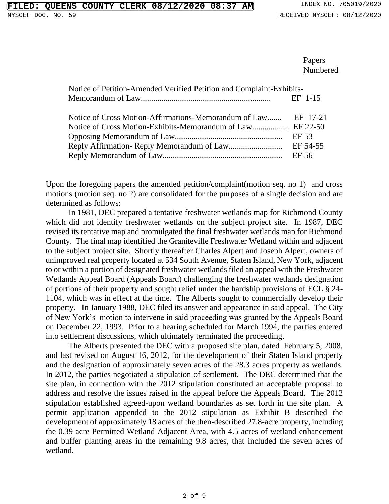Papers Numbered

| Notice of Petition-Amended Verified Petition and Complaint-Exhibits- |         |
|----------------------------------------------------------------------|---------|
|                                                                      | EF 1-15 |
|                                                                      |         |
| Notice of Cross Motion-Affirmations-Memorandum of Law EF 17-21       |         |
|                                                                      |         |
|                                                                      | EF 53   |
|                                                                      |         |
|                                                                      | EF 56   |

Upon the foregoing papers the amended petition/complaint(motion seq. no 1) and cross motions (motion seq. no 2) are consolidated for the purposes of a single decision and are determined as follows:

In 1981, DEC prepared a tentative freshwater wetlands map for Richmond County which did not identify freshwater wetlands on the subject project site. In 1987, DEC revised its tentative map and promulgated the final freshwater wetlands map for Richmond County. The final map identified the Graniteville Freshwater Wetland within and adjacent to the subject project site. Shortly thereafter Charles Alpert and Joseph Alpert, owners of unimproved real property located at 534 South Avenue, Staten Island, New York, adjacent to or within a portion of designated freshwater wetlands filed an appeal with the Freshwater Wetlands Appeal Board (Appeals Board) challenging the freshwater wetlands designation of portions of their property and sought relief under the hardship provisions of ECL § 24- 1104, which was in effect at the time. The Alberts sought to commercially develop their property. In January 1988, DEC filed its answer and appearance in said appeal. The City of New York's motion to intervene in said proceeding was granted by the Appeals Board on December 22, 1993. Prior to a hearing scheduled for March 1994, the parties entered into settlement discussions, which ultimately terminated the proceeding.

The Alberts presented the DEC with a proposed site plan, dated February 5, 2008, and last revised on August 16, 2012, for the development of their Staten Island property and the designation of approximately seven acres of the 28.3 acres property as wetlands. In 2012, the parties negotiated a stipulation of settlement. The DEC determined that the site plan, in connection with the 2012 stipulation constituted an acceptable proposal to address and resolve the issues raised in the appeal before the Appeals Board. The 2012 stipulation established agreed-upon wetland boundaries as set forth in the site plan. A permit application appended to the 2012 stipulation as Exhibit B described the development of approximately 18 acres of the then-described 27.8-acre property, including the 0.39 acre Permitted Wetland Adjacent Area, with 4.5 acres of wetland enhancement and buffer planting areas in the remaining 9.8 acres, that included the seven acres of wetland.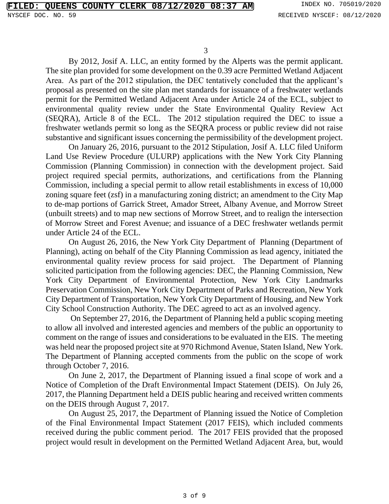By 2012, Josif A. LLC, an entity formed by the Alperts was the permit applicant. The site plan provided for some development on the 0.39 acre Permitted Wetland Adjacent Area. As part of the 2012 stipulation, the DEC tentatively concluded that the applicant's proposal as presented on the site plan met standards for issuance of a freshwater wetlands permit for the Permitted Wetland Adjacent Area under Article 24 of the ECL, subject to environmental quality review under the State Environmental Quality Review Act (SEQRA), Article 8 of the ECL. The 2012 stipulation required the DEC to issue a freshwater wetlands permit so long as the SEQRA process or public review did not raise substantive and significant issues concerning the permissibility of the development project.

On January 26, 2016, pursuant to the 2012 Stipulation, Josif A. LLC filed Uniform Land Use Review Procedure (ULURP) applications with the New York City Planning Commission (Planning Commission) in connection with the development project. Said project required special permits, authorizations, and certifications from the Planning Commission, including a special permit to allow retail establishments in excess of 10,000 zoning square feet (zsf) in a manufacturing zoning district; an amendment to the City Map to de-map portions of Garrick Street, Amador Street, Albany Avenue, and Morrow Street (unbuilt streets) and to map new sections of Morrow Street, and to realign the intersection of Morrow Street and Forest Avenue; and issuance of a DEC freshwater wetlands permit under Article 24 of the ECL.

On August 26, 2016, the New York City Department of Planning (Department of Planning), acting on behalf of the City Planning Commission as lead agency, initiated the environmental quality review process for said project. The Department of Planning solicited participation from the following agencies: DEC, the Planning Commission, New York City Department of Environmental Protection, New York City Landmarks Preservation Commission, New York City Department of Parks and Recreation, New York City Department of Transportation, New York City Department of Housing, and New York City School Construction Authority. The DEC agreed to act as an involved agency.

On September 27, 2016, the Department of Planning held a public scoping meeting to allow all involved and interested agencies and members of the public an opportunity to comment on the range of issues and considerations to be evaluated in the EIS. The meeting was held near the proposed project site at 970 Richmond Avenue, Staten Island, New York. The Department of Planning accepted comments from the public on the scope of work through October 7, 2016.

On June 2, 2017, the Department of Planning issued a final scope of work and a Notice of Completion of the Draft Environmental Impact Statement (DEIS). On July 26, 2017, the Planning Department held a DEIS public hearing and received written comments on the DEIS through August 7, 2017.

On August 25, 2017, the Department of Planning issued the Notice of Completion of the Final Environmental Impact Statement (2017 FEIS), which included comments received during the public comment period. The 2017 FEIS provided that the proposed project would result in development on the Permitted Wetland Adjacent Area, but, would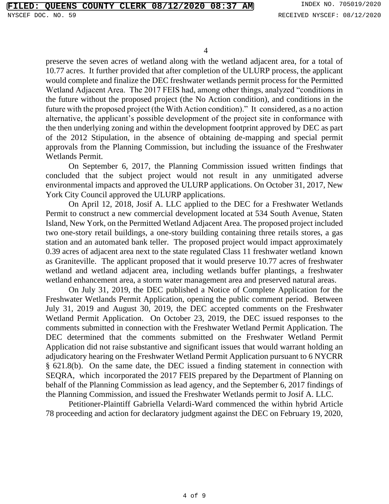preserve the seven acres of wetland along with the wetland adjacent area, for a total of 10.77 acres. It further provided that after completion of the ULURP process, the applicant would complete and finalize the DEC freshwater wetlands permit process for the Permitted Wetland Adjacent Area. The 2017 FEIS had, among other things, analyzed "conditions in the future without the proposed project (the No Action condition), and conditions in the future with the proposed project (the With Action condition)." It considered, as a no action alternative, the applicant's possible development of the project site in conformance with the then underlying zoning and within the development footprint approved by DEC as part of the 2012 Stipulation, in the absence of obtaining de-mapping and special permit approvals from the Planning Commission, but including the issuance of the Freshwater Wetlands Permit.

On September 6, 2017, the Planning Commission issued written findings that concluded that the subject project would not result in any unmitigated adverse environmental impacts and approved the ULURP applications. On October 31, 2017, New York City Council approved the ULURP applications.

On April 12, 2018, Josif A. LLC applied to the DEC for a Freshwater Wetlands Permit to construct a new commercial development located at 534 South Avenue, Staten Island, New York, on the Permitted Wetland Adjacent Area. The proposed project included two one-story retail buildings, a one-story building containing three retails stores, a gas station and an automated bank teller. The proposed project would impact approximately 0.39 acres of adjacent area next to the state regulated Class 11 freshwater wetland known as Graniteville. The applicant proposed that it would preserve 10.77 acres of freshwater wetland and wetland adjacent area, including wetlands buffer plantings, a freshwater wetland enhancement area, a storm water management area and preserved natural areas.

On July 31, 2019, the DEC published a Notice of Complete Application for the Freshwater Wetlands Permit Application, opening the public comment period. Between July 31, 2019 and August 30, 2019, the DEC accepted comments on the Freshwater Wetland Permit Application. On October 23, 2019, the DEC issued responses to the comments submitted in connection with the Freshwater Wetland Permit Application. The DEC determined that the comments submitted on the Freshwater Wetland Permit Application did not raise substantive and significant issues that would warrant holding an adjudicatory hearing on the Freshwater Wetland Permit Application pursuant to 6 NYCRR § 621.8(b). On the same date, the DEC issued a finding statement in connection with SEQRA, which incorporated the 2017 FEIS prepared by the Department of Planning on behalf of the Planning Commission as lead agency, and the September 6, 2017 findings of the Planning Commission, and issued the Freshwater Wetlands permit to Josif A. LLC.

Petitioner-Plaintiff Gabriella Velardi-Ward commenced the within hybrid Article 78 proceeding and action for declaratory judgment against the DEC on February 19, 2020,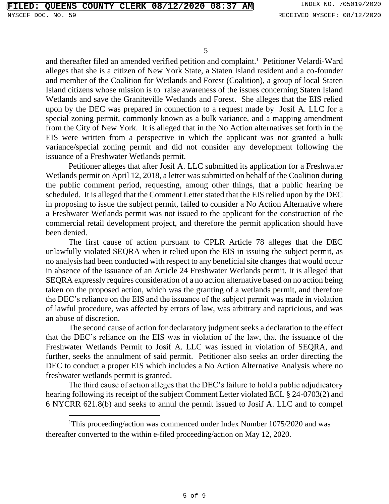and thereafter filed an amended verified petition and complaint.<sup>1</sup> Petitioner Velardi-Ward alleges that she is a citizen of New York State, a Staten Island resident and a co-founder and member of the Coalition for Wetlands and Forest (Coalition), a group of local Staten Island citizens whose mission is to raise awareness of the issues concerning Staten Island Wetlands and save the Graniteville Wetlands and Forest. She alleges that the EIS relied upon by the DEC was prepared in connection to a request made by Josif A. LLC for a special zoning permit, commonly known as a bulk variance, and a mapping amendment from the City of New York. It is alleged that in the No Action alternatives set forth in the EIS were written from a perspective in which the applicant was not granted a bulk variance/special zoning permit and did not consider any development following the issuance of a Freshwater Wetlands permit.

Petitioner alleges that after Josif A. LLC submitted its application for a Freshwater Wetlands permit on April 12, 2018, a letter was submitted on behalf of the Coalition during the public comment period, requesting, among other things, that a public hearing be scheduled. It is alleged that the Comment Letter stated that the EIS relied upon by the DEC in proposing to issue the subject permit, failed to consider a No Action Alternative where a Freshwater Wetlands permit was not issued to the applicant for the construction of the commercial retail development project, and therefore the permit application should have been denied.

The first cause of action pursuant to CPLR Article 78 alleges that the DEC unlawfully violated SEQRA when it relied upon the EIS in issuing the subject permit, as no analysis had been conducted with respect to any beneficial site changes that would occur in absence of the issuance of an Article 24 Freshwater Wetlands permit. It is alleged that SEQRA expressly requires consideration of a no action alternative based on no action being taken on the proposed action, which was the granting of a wetlands permit, and therefore the DEC's reliance on the EIS and the issuance of the subject permit was made in violation of lawful procedure, was affected by errors of law, was arbitrary and capricious, and was an abuse of discretion.

The second cause of action for declaratory judgment seeks a declaration to the effect that the DEC's reliance on the EIS was in violation of the law, that the issuance of the Freshwater Wetlands Permit to Josif A. LLC was issued in violation of SEQRA, and further, seeks the annulment of said permit. Petitioner also seeks an order directing the DEC to conduct a proper EIS which includes a No Action Alternative Analysis where no freshwater wetlands permit is granted.

The third cause of action alleges that the DEC's failure to hold a public adjudicatory hearing following its receipt of the subject Comment Letter violated ECL § 24-0703(2) and 6 NYCRR 621.8(b) and seeks to annul the permit issued to Josif A. LLC and to compel

<sup>&</sup>lt;sup>1</sup>This proceeding/action was commenced under Index Number 1075/2020 and was thereafter converted to the within e-filed proceeding/action on May 12, 2020.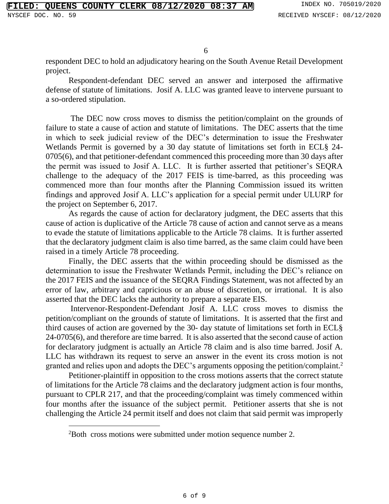respondent DEC to hold an adjudicatory hearing on the South Avenue Retail Development project.

Respondent-defendant DEC served an answer and interposed the affirmative defense of statute of limitations. Josif A. LLC was granted leave to intervene pursuant to a so-ordered stipulation.

The DEC now cross moves to dismiss the petition/complaint on the grounds of failure to state a cause of action and statute of limitations. The DEC asserts that the time in which to seek judicial review of the DEC's determination to issue the Freshwater Wetlands Permit is governed by a 30 day statute of limitations set forth in ECL§ 24- 0705(6), and that petitioner-defendant commenced this proceeding more than 30 days after the permit was issued to Josif A. LLC. It is further asserted that petitioner's SEQRA challenge to the adequacy of the 2017 FEIS is time-barred, as this proceeding was commenced more than four months after the Planning Commission issued its written findings and approved Josif A. LLC's application for a special permit under ULURP for the project on September 6, 2017.

As regards the cause of action for declaratory judgment, the DEC asserts that this cause of action is duplicative of the Article 78 cause of action and cannot serve as a means to evade the statute of limitations applicable to the Article 78 claims. It is further asserted that the declaratory judgment claim is also time barred, as the same claim could have been raised in a timely Article 78 proceeding.

Finally, the DEC asserts that the within proceeding should be dismissed as the determination to issue the Freshwater Wetlands Permit, including the DEC's reliance on the 2017 FEIS and the issuance of the SEQRA Findings Statement, was not affected by an error of law, arbitrary and capricious or an abuse of discretion, or irrational. It is also asserted that the DEC lacks the authority to prepare a separate EIS.

Intervenor-Respondent-Defendant Josif A. LLC cross moves to dismiss the petition/compliant on the grounds of statute of limitations. It is asserted that the first and third causes of action are governed by the 30- day statute of limitations set forth in ECL§ 24-0705(6), and therefore are time barred. It is also asserted that the second cause of action for declaratory judgment is actually an Article 78 claim and is also time barred. Josif A. LLC has withdrawn its request to serve an answer in the event its cross motion is not granted and relies upon and adopts the DEC's arguments opposing the petition/complaint.<sup>2</sup>

Petitioner-plaintiff in opposition to the cross motions asserts that the correct statute of limitations for the Article 78 claims and the declaratory judgment action is four months, pursuant to CPLR 217, and that the proceeding/complaint was timely commenced within four months after the issuance of the subject permit. Petitioner asserts that she is not challenging the Article 24 permit itself and does not claim that said permit was improperly

<sup>2</sup>Both cross motions were submitted under motion sequence number 2.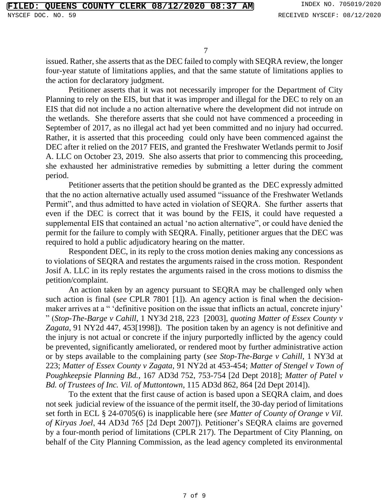issued. Rather, she asserts that as the DEC failed to comply with SEQRA review, the longer four-year statute of limitations applies, and that the same statute of limitations applies to the action for declaratory judgment.

Petitioner asserts that it was not necessarily improper for the Department of City Planning to rely on the EIS, but that it was improper and illegal for the DEC to rely on an EIS that did not include a no action alternative where the development did not intrude on the wetlands. She therefore asserts that she could not have commenced a proceeding in September of 2017, as no illegal act had yet been committed and no injury had occurred. Rather, it is asserted that this proceeding could only have been commenced against the DEC after it relied on the 2017 FEIS, and granted the Freshwater Wetlands permit to Josif A. LLC on October 23, 2019. She also asserts that prior to commencing this proceeding, she exhausted her administrative remedies by submitting a letter during the comment period.

Petitioner asserts that the petition should be granted as the DEC expressly admitted that the no action alternative actually used assumed "issuance of the Freshwater Wetlands Permit", and thus admitted to have acted in violation of SEQRA. She further asserts that even if the DEC is correct that it was bound by the FEIS, it could have requested a supplemental EIS that contained an actual 'no action alternative", or could have denied the permit for the failure to comply with SEQRA. Finally, petitioner argues that the DEC was required to hold a public adjudicatory hearing on the matter.

Respondent DEC, in its reply to the cross motion denies making any concessions as to violations of SEQRA and restates the arguments raised in the cross motion. Respondent Josif A. LLC in its reply restates the arguments raised in the cross motions to dismiss the petition/complaint.

An action taken by an agency pursuant to SEQRA may be challenged only when such action is final (*see* CPLR 7801 [1]). An agency action is final when the decisionmaker arrives at a " 'definitive position on the issue that inflicts an actual, concrete injury' " (*Stop-The-Barge v Cahill*, 1 NY3d 218, 223 [2003]*, quoting Matter of Essex County v Zagata*, 91 NY2d 447, 453[1998]). The position taken by an agency is not definitive and the injury is not actual or concrete if the injury purportedly inflicted by the agency could be prevented, significantly ameliorated, or rendered moot by further administrative action or by steps available to the complaining party (*see Stop-The-Barge v Cahill*, 1 NY3d at 223; *Matter of Essex County v Zagata*, 91 NY2d at 453-454; *Matter of Stengel v Town of Poughkeepsie Planning Bd.*, 167 AD3d 752, 753-754 [2d Dept 2018]; *Matter of Patel v Bd. of Trustees of Inc. Vil. of Muttontown*, 115 AD3d 862, 864 [2d Dept 2014]).

To the extent that the first cause of action is based upon a SEQRA claim, and does not seek judicial review of the issuance of the permit itself, the 30-day period of limitations set forth in ECL § 24-0705(6) is inapplicable here (*see Matter of County of Orange v Vil. of Kiryas Joel*, 44 AD3d 765 [2d Dept 2007]). Petitioner's SEQRA claims are governed by a four-month period of limitations (CPLR 217). The Department of City Planning, on behalf of the City Planning Commission, as the lead agency completed its environmental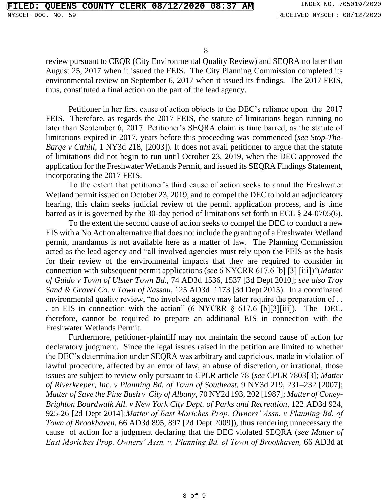review pursuant to CEQR (City Environmental Quality Review) and SEQRA no later than August 25, 2017 when it issued the FEIS. The City Planning Commission completed its environmental review on September 6, 2017 when it issued its findings. The 2017 FEIS, thus, constituted a final action on the part of the lead agency.

Petitioner in her first cause of action objects to the DEC's reliance upon the 2017 FEIS. Therefore, as regards the 2017 FEIS, the statute of limitations began running no later than September 6, 2017. Petitioner's SEQRA claim is time barred, as the statute of limitations expired in 2017, years before this proceeding was commenced (*see Stop-The-Barge v Cahill*, 1 NY3d 218, [2003]). It does not avail petitioner to argue that the statute of limitations did not begin to run until October 23, 2019, when the DEC approved the application for the Freshwater Wetlands Permit, and issued its SEQRA Findings Statement, incorporating the 2017 FEIS.

To the extent that petitioner's third cause of action seeks to annul the Freshwater Wetland permit issued on October 23, 2019, and to compel the DEC to hold an adjudicatory hearing, this claim seeks judicial review of the permit application process, and is time barred as it is governed by the 30-day period of limitations set forth in ECL § 24-0705(6).

To the extent the second cause of action seeks to compel the DEC to conduct a new EIS with a No Action alternative that does not include the granting of a Freshwater Wetland permit, mandamus is not available here as a matter of law. The Planning Commission acted as the lead agency and "all involved agencies must rely upon the FEIS as the basis for their review of the environmental impacts that they are required to consider in connection with subsequent permit applications (*see* 6 NYCRR 617.6 [b] [3] [iii])"(*Matter of Guido v Town of Ulster Town Bd.*, 74 AD3d 1536, 1537 [3d Dept 2010]; *see also Troy Sand & Gravel Co. v Town of Nassau*, 125 AD3d 1173 [3d Dept 2015). In a coordinated environmental quality review, "no involved agency may later require the preparation of . . . an EIS in connection with the action" (6 NYCRR § 617.6 [b][3][iii]). The DEC, therefore, cannot be required to prepare an additional EIS in connection with the Freshwater Wetlands Permit.

Furthermore, petitioner-plaintiff may not maintain the second cause of action for declaratory judgment. Since the legal issues raised in the petition are limited to whether the DEC's determination under SEQRA was arbitrary and capricious, made in violation of lawful procedure, affected by an error of law, an abuse of discretion, or irrational, those issues are subject to review only pursuant to CPLR article 78 (*see* CPLR 7803[3]; *Matter of Riverkeeper, Inc. v Planning Bd. of Town of Southeast,* 9 NY3d 219, 231–232 [2007]; *Matter of Save the Pine Bush v City of Albany,* 70 NY2d 193, 202 [1987]; *Matter of Coney-Brighton Boardwalk All. v New York City Dept. of Parks and Recreation*, 122 AD3d 924, 925-26 [2d Dept 2014]*;Matter of East Moriches Prop. Owners' Assn. v Planning Bd. of Town of Brookhaven,* 66 AD3d 895, 897 [2d Dept 2009]), thus rendering unnecessary the cause of action for a judgment declaring that the DEC violated SEQRA (*see Matter of East Moriches Prop. Owners' Assn. v. Planning Bd. of Town of Brookhaven,* 66 AD3d at